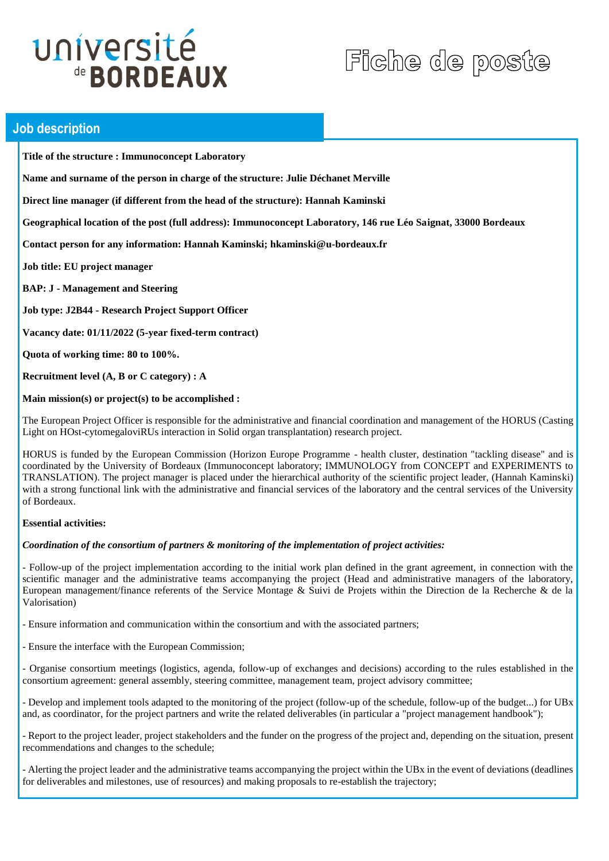# université de **BORDEAUX**

# Fiche de poste

## **Job description**

**Title of the structure : Immunoconcept Laboratory**

**Name and surname of the person in charge of the structure: Julie Déchanet Merville**

**Direct line manager (if different from the head of the structure): Hannah Kaminski**

**Geographical location of the post (full address): Immunoconcept Laboratory, 146 rue Léo Saignat, 33000 Bordeaux**

**Contact person for any information: Hannah Kaminski; hkaminski@u-bordeaux.fr**

**Job title: EU project manager** 

**BAP: J - Management and Steering**

**Job type: J2B44 - Research Project Support Officer**

**Vacancy date: 01/11/2022 (5-year fixed-term contract)** 

**Quota of working time: 80 to 100%.** 

**Recruitment level (A, B or C category) : A**

#### **Main mission(s) or project(s) to be accomplished :**

The European Project Officer is responsible for the administrative and financial coordination and management of the HORUS (Casting Light on HOst-cytomegaloviRUs interaction in Solid organ transplantation) research project.

HORUS is funded by the European Commission (Horizon Europe Programme - health cluster, destination "tackling disease" and is coordinated by the University of Bordeaux (Immunoconcept laboratory; IMMUNOLOGY from CONCEPT and EXPERIMENTS to TRANSLATION). The project manager is placed under the hierarchical authority of the scientific project leader, (Hannah Kaminski) with a strong functional link with the administrative and financial services of the laboratory and the central services of the University of Bordeaux.

#### **Essential activities:**

#### *Coordination of the consortium of partners & monitoring of the implementation of project activities:*

- Follow-up of the project implementation according to the initial work plan defined in the grant agreement, in connection with the scientific manager and the administrative teams accompanying the project (Head and administrative managers of the laboratory, European management/finance referents of the Service Montage & Suivi de Projets within the Direction de la Recherche & de la Valorisation)

- Ensure information and communication within the consortium and with the associated partners;

- Ensure the interface with the European Commission;

- Organise consortium meetings (logistics, agenda, follow-up of exchanges and decisions) according to the rules established in the consortium agreement: general assembly, steering committee, management team, project advisory committee;

- Develop and implement tools adapted to the monitoring of the project (follow-up of the schedule, follow-up of the budget...) for UBx and, as coordinator, for the project partners and write the related deliverables (in particular a "project management handbook");

- Report to the project leader, project stakeholders and the funder on the progress of the project and, depending on the situation, present recommendations and changes to the schedule;

- Alerting the project leader and the administrative teams accompanying the project within the UBx in the event of deviations (deadlines for deliverables and milestones, use of resources) and making proposals to re-establish the trajectory;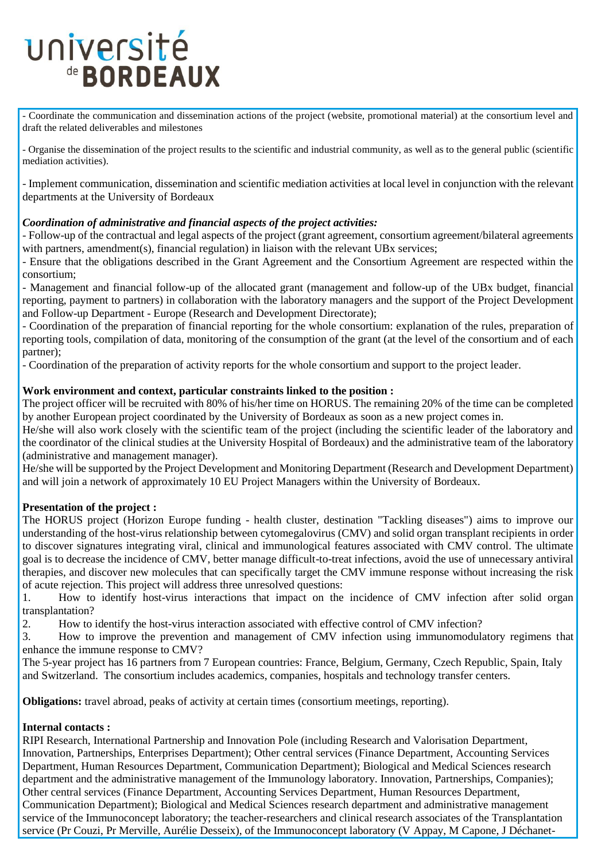# université de **BORDEAUX**

- Coordinate the communication and dissemination actions of the project (website, promotional material) at the consortium level and draft the related deliverables and milestones

- Organise the dissemination of the project results to the scientific and industrial community, as well as to the general public (scientific mediation activities).

- Implement communication, dissemination and scientific mediation activities at local level in conjunction with the relevant departments at the University of Bordeaux

### *Coordination of administrative and financial aspects of the project activities:*

- Follow-up of the contractual and legal aspects of the project (grant agreement, consortium agreement/bilateral agreements with partners, amendment(s), financial regulation) in liaison with the relevant UBx services;

- Ensure that the obligations described in the Grant Agreement and the Consortium Agreement are respected within the consortium;

- Management and financial follow-up of the allocated grant (management and follow-up of the UBx budget, financial reporting, payment to partners) in collaboration with the laboratory managers and the support of the Project Development and Follow-up Department - Europe (Research and Development Directorate);

- Coordination of the preparation of financial reporting for the whole consortium: explanation of the rules, preparation of reporting tools, compilation of data, monitoring of the consumption of the grant (at the level of the consortium and of each partner);

- Coordination of the preparation of activity reports for the whole consortium and support to the project leader.

#### **Work environment and context, particular constraints linked to the position :**

The project officer will be recruited with 80% of his/her time on HORUS. The remaining 20% of the time can be completed by another European project coordinated by the University of Bordeaux as soon as a new project comes in.

He/she will also work closely with the scientific team of the project (including the scientific leader of the laboratory and the coordinator of the clinical studies at the University Hospital of Bordeaux) and the administrative team of the laboratory (administrative and management manager).

He/she will be supported by the Project Development and Monitoring Department (Research and Development Department) and will join a network of approximately 10 EU Project Managers within the University of Bordeaux.

### **Presentation of the project :**

The HORUS project (Horizon Europe funding - health cluster, destination "Tackling diseases") aims to improve our understanding of the host-virus relationship between cytomegalovirus (CMV) and solid organ transplant recipients in order to discover signatures integrating viral, clinical and immunological features associated with CMV control. The ultimate goal is to decrease the incidence of CMV, better manage difficult-to-treat infections, avoid the use of unnecessary antiviral therapies, and discover new molecules that can specifically target the CMV immune response without increasing the risk of acute rejection. This project will address three unresolved questions:

1. How to identify host-virus interactions that impact on the incidence of CMV infection after solid organ transplantation?

2. How to identify the host-virus interaction associated with effective control of CMV infection?

3. How to improve the prevention and management of CMV infection using immunomodulatory regimens that enhance the immune response to CMV?

The 5-year project has 16 partners from 7 European countries: France, Belgium, Germany, Czech Republic, Spain, Italy and Switzerland. The consortium includes academics, companies, hospitals and technology transfer centers.

**Obligations:** travel abroad, peaks of activity at certain times (consortium meetings, reporting).

### **Internal contacts :**

RIPI Research, International Partnership and Innovation Pole (including Research and Valorisation Department, Innovation, Partnerships, Enterprises Department); Other central services (Finance Department, Accounting Services Department, Human Resources Department, Communication Department); Biological and Medical Sciences research department and the administrative management of the Immunology laboratory. Innovation, Partnerships, Companies); Other central services (Finance Department, Accounting Services Department, Human Resources Department, Communication Department); Biological and Medical Sciences research department and administrative management service of the Immunoconcept laboratory; the teacher-researchers and clinical research associates of the Transplantation service (Pr Couzi, Pr Merville, Aurélie Desseix), of the Immunoconcept laboratory (V Appay, M Capone, J Déchanet-